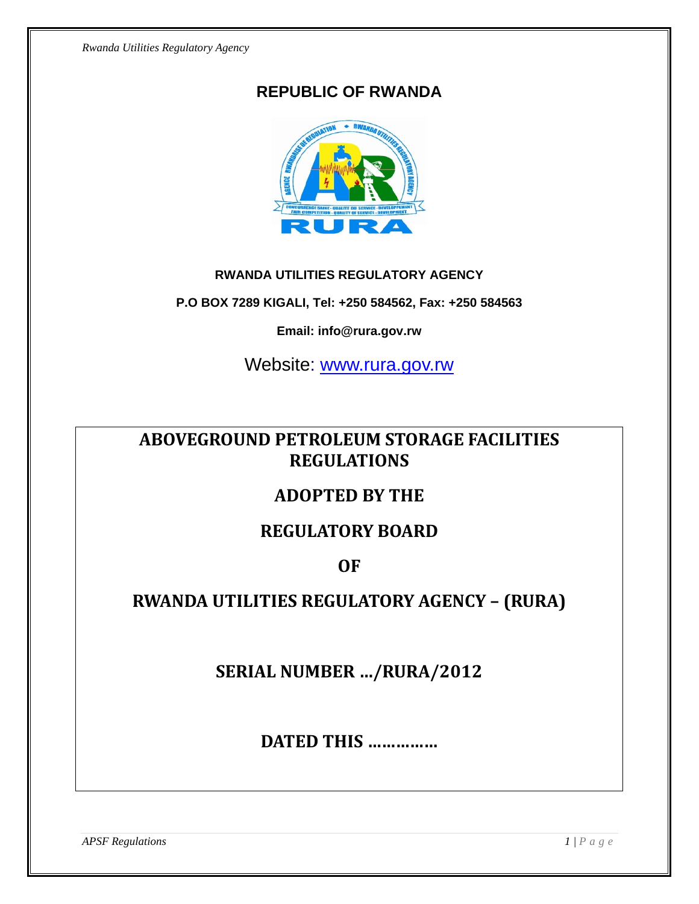## **REPUBLIC OF RWANDA**



#### **RWANDA UTILITIES REGULATORY AGENCY**

**P.O BOX 7289 KIGALI, Tel: +250 584562, Fax: +250 584563** 

**Email: info@rura.gov.rw** 

Website: [www.rura.gov.rw](http://www.rura.gov.rw/)

# **ABOVEGROUND PETROLEUM STORAGE FACILITIES REGULATIONS**

# **ADOPTED BY THE**

# **REGULATORY BOARD**

## **OF**

# **RWANDA UTILITIES REGULATORY AGENCY – (RURA)**

**SERIAL NUMBER …/RURA/2012**

**DATED THIS ……………**

*APSF Regulations*  $I/P a ge$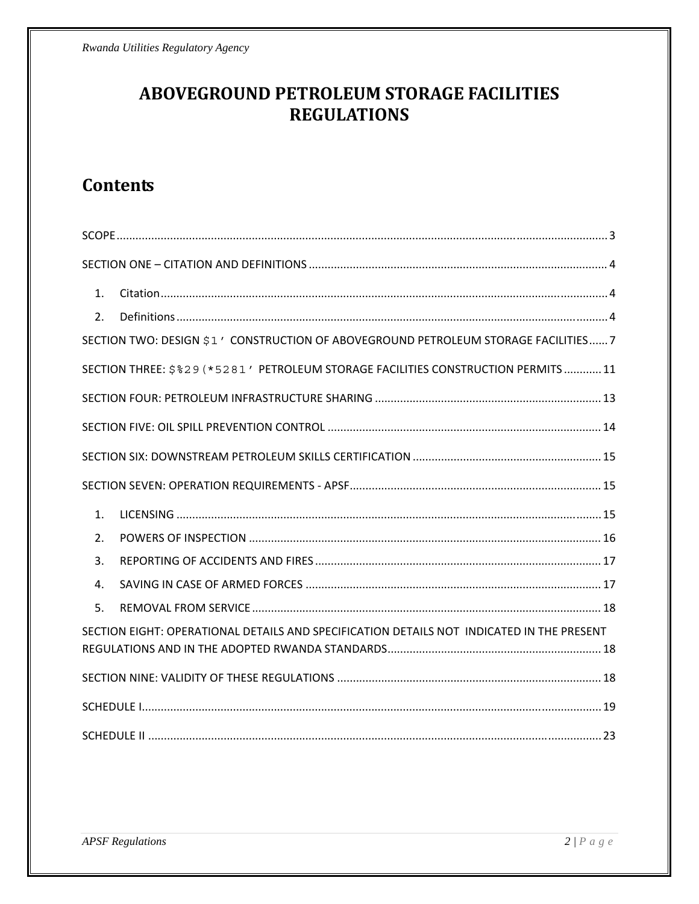# ABOVEGROUND PETROLEUM STORAGE FACILITIES **REGULATIONS**

# **Contents**

| $\mathbf{1}$ .                                                                            |                                                                                    |  |  |  |
|-------------------------------------------------------------------------------------------|------------------------------------------------------------------------------------|--|--|--|
| 2.                                                                                        |                                                                                    |  |  |  |
|                                                                                           | SECTION TWO: DESIGN \$1' CONSTRUCTION OF ABOVEGROUND PETROLEUM STORAGE FACILITIES7 |  |  |  |
|                                                                                           | SECTION THREE: \$%29 (*5281 ' PETROLEUM STORAGE FACILITIES CONSTRUCTION PERMITS 11 |  |  |  |
|                                                                                           |                                                                                    |  |  |  |
|                                                                                           |                                                                                    |  |  |  |
|                                                                                           |                                                                                    |  |  |  |
|                                                                                           |                                                                                    |  |  |  |
| $\mathbf{1}$ .                                                                            |                                                                                    |  |  |  |
| 2.                                                                                        |                                                                                    |  |  |  |
| 3.                                                                                        |                                                                                    |  |  |  |
| 4.                                                                                        |                                                                                    |  |  |  |
| 5.                                                                                        |                                                                                    |  |  |  |
| SECTION EIGHT: OPERATIONAL DETAILS AND SPECIFICATION DETAILS NOT INDICATED IN THE PRESENT |                                                                                    |  |  |  |
|                                                                                           |                                                                                    |  |  |  |
|                                                                                           |                                                                                    |  |  |  |
|                                                                                           |                                                                                    |  |  |  |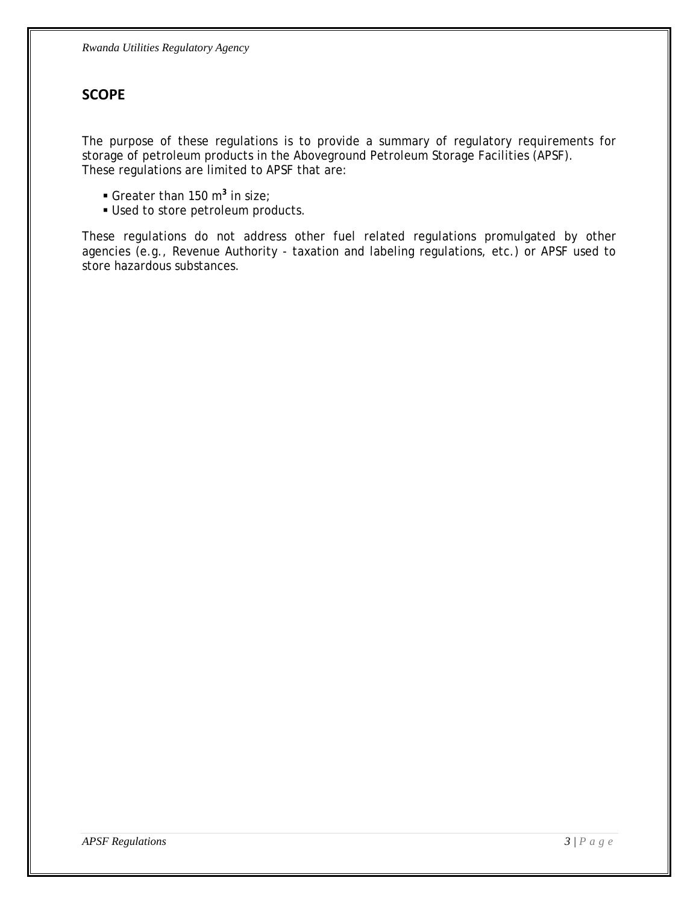### <span id="page-2-0"></span>**SCOPE**

The purpose of these regulations is to provide a summary of regulatory requirements for storage of petroleum products in the Aboveground Petroleum Storage Facilities (APSF). These regulations are limited to APSF that are:

- **Greater than 150 m<sup>3</sup> in size;**
- **Used to store petroleum products.**

These regulations do not address other fuel related regulations promulgated by other agencies (e.g., Revenue Authority - taxation and labeling regulations, etc.) or APSF used to store hazardous substances.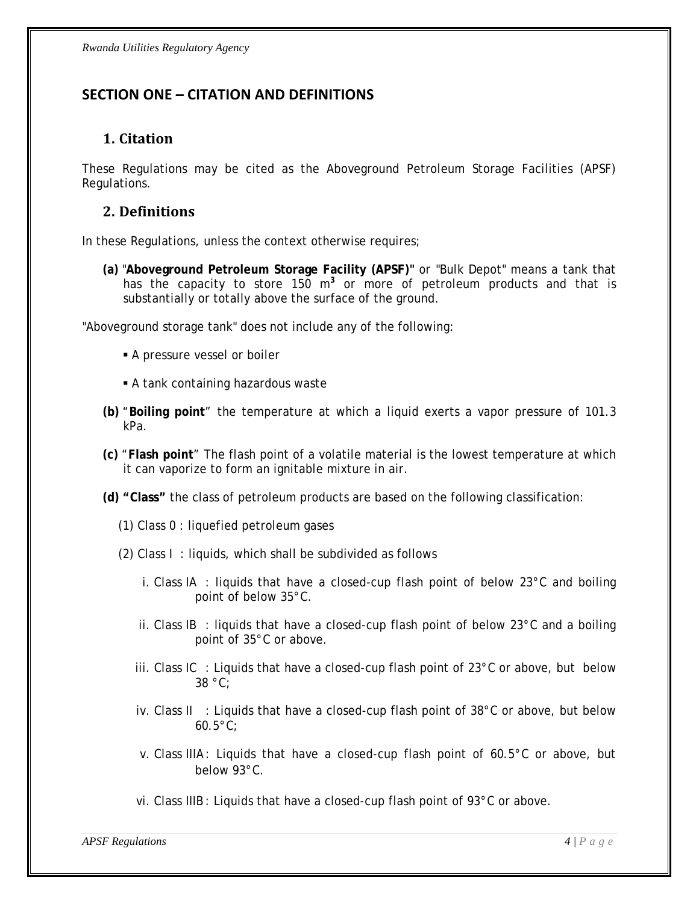### <span id="page-3-0"></span>**SECTION ONE – CITATION AND DEFINITIONS**

#### **1. Citation**

These Regulations may be cited as the Aboveground Petroleum Storage Facilities (APSF) Regulations.

#### **2. Definitions**

In these Regulations, unless the context otherwise requires;

**(a)** "**Aboveground Petroleum Storage Facility (APSF)"** or "Bulk Depot" means a tank that has the capacity to store 150 m<sup>3</sup> or more of petroleum products and that is substantially or totally above the surface of the ground.

"Aboveground storage tank" does not include any of the following:

- A pressure vessel or boiler
- A tank containing hazardous waste
- **(b)** "**Boiling point**" the temperature at which a liquid exerts a vapor pressure of 101.3 kPa.
- **(c)** "**Flash point**" The flash point of a volatile material is the lowest temperature at which it can vaporize to form an ignitable mixture in air.
- **(d) "Class"** the class of petroleum products are based on the following classification:
	- (1) Class 0 : liquefied petroleum gases
	- (2) Class I : liquids, which shall be subdivided as follows
		- i. Class IA : liquids that have a closed-cup flash point of below 23°C and boiling point of below 35°C.
		- ii. Class IB : liquids that have a closed-cup flash point of below  $23^{\circ}$ C and a boiling point of 35°C or above.
		- iii. Class IC : Liquids that have a closed-cup flash point of  $23^{\circ}$ C or above, but below 38 °C;
		- iv. Class II : Liquids that have a closed-cup flash point of  $38^{\circ}$ C or above, but below 60.5°C;
		- v. Class IIIA: Liquids that have a closed-cup flash point of  $60.5^{\circ}$ C or above, but below 93°C.
		- vi. Class IIIB : Liquids that have a closed-cup flash point of 93°C or above.

*APSF Regulations* 4 | P a g e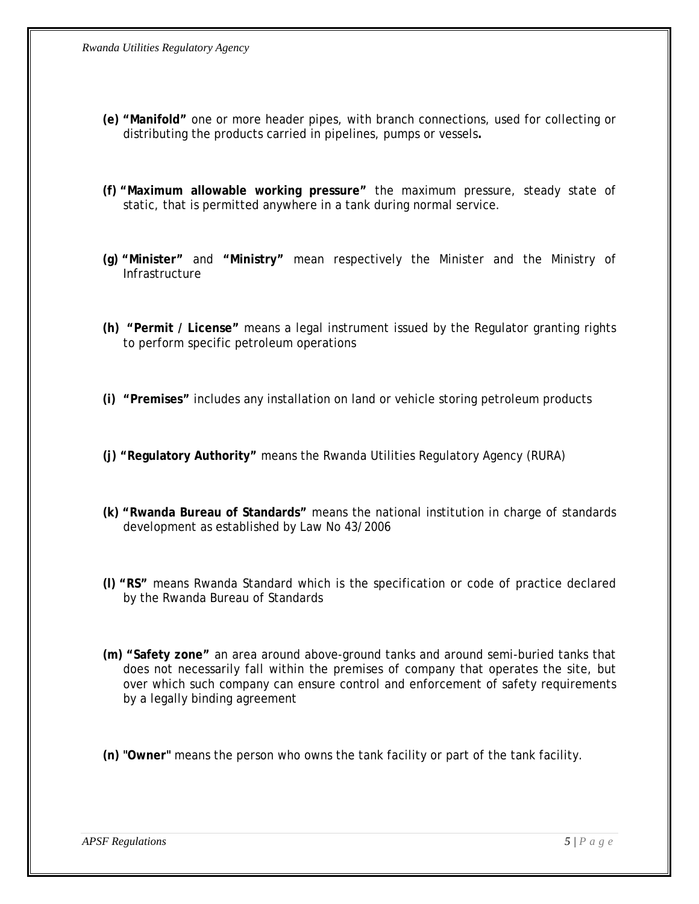- **(e) "Manifold"** one or more header pipes, with branch connections, used for collecting or distributing the products carried in pipelines, pumps or vessels**.**
- **(f) "Maximum allowable working pressure"** the maximum pressure, steady state of static, that is permitted anywhere in a tank during normal service.
- **(g) "Minister"** and **"Ministry"** mean respectively the Minister and the Ministry of **Infrastructure**
- **(h) "Permit / License"** means a legal instrument issued by the Regulator granting rights to perform specific petroleum operations
- **(i) "Premises"** includes any installation on land or vehicle storing petroleum products
- **(j) "Regulatory Authority"** means the Rwanda Utilities Regulatory Agency (RURA)
- **(k) "Rwanda Bureau of Standards"** means the national institution in charge of standards development as established by Law No 43/2006
- **(l) "RS"** means Rwanda Standard which is the specification or code of practice declared by the Rwanda Bureau of Standards
- **(m) "Safety zone"** an area around above-ground tanks and around semi-buried tanks that does not necessarily fall within the premises of company that operates the site, but over which such company can ensure control and enforcement of safety requirements by a legally binding agreement
- **(n) "Owner"** means the person who owns the tank facility or part of the tank facility.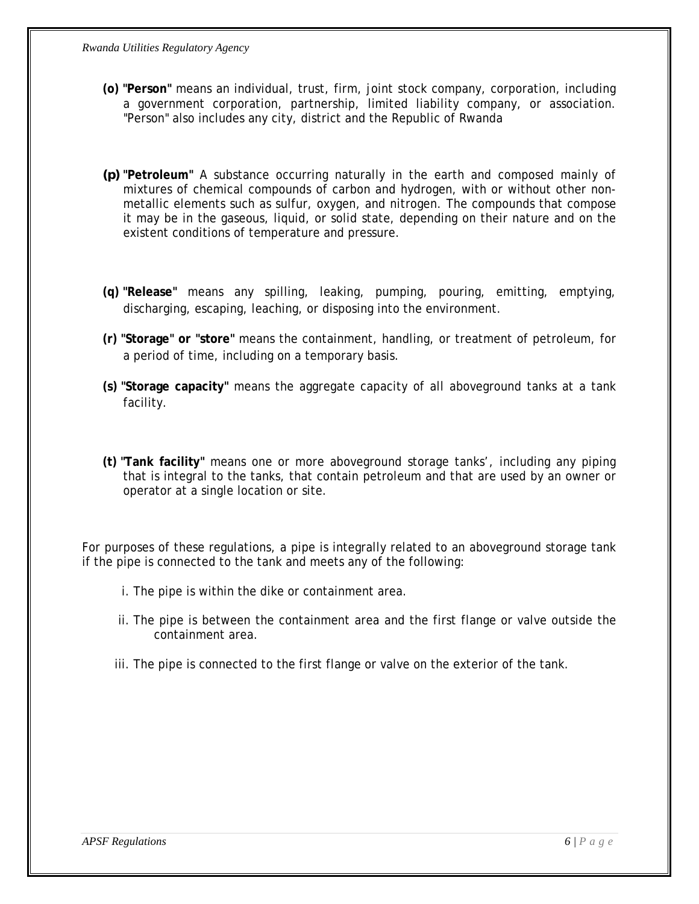- **(o) "Person"** means an individual, trust, firm, joint stock company, corporation, including a government corporation, partnership, limited liability company, or association. "Person" also includes any city, district and the Republic of Rwanda
- *(p)* **"Petroleum"** A substance occurring naturally in the earth and composed mainly of mixtures of chemical compounds of carbon and hydrogen, with or without other nonmetallic elements such as sulfur, oxygen, and nitrogen*.* The compounds that compose it may be in the gaseous, liquid, or solid state, depending on their nature and on the existent conditions of temperature and pressure.
- **(q) "Release"** means any spilling, leaking, pumping, pouring, emitting, emptying, discharging, escaping, leaching, or disposing into the environment.
- **(r) "Storage" or "store"** means the containment, handling, or treatment of petroleum, for a period of time, including on a temporary basis.
- **(s) "Storage capacity"** means the aggregate capacity of all aboveground tanks at a tank facility.
- **(t) "Tank facility"** means one or more aboveground storage tanks', including any piping that is integral to the tanks, that contain petroleum and that are used by an owner or operator at a single location or site.

For purposes of these regulations, a pipe is integrally related to an aboveground storage tank if the pipe is connected to the tank and meets any of the following:

- i. The pipe is within the dike or containment area.
- ii. The pipe is between the containment area and the first flange or valve outside the containment area.
- iii. The pipe is connected to the first flange or valve on the exterior of the tank.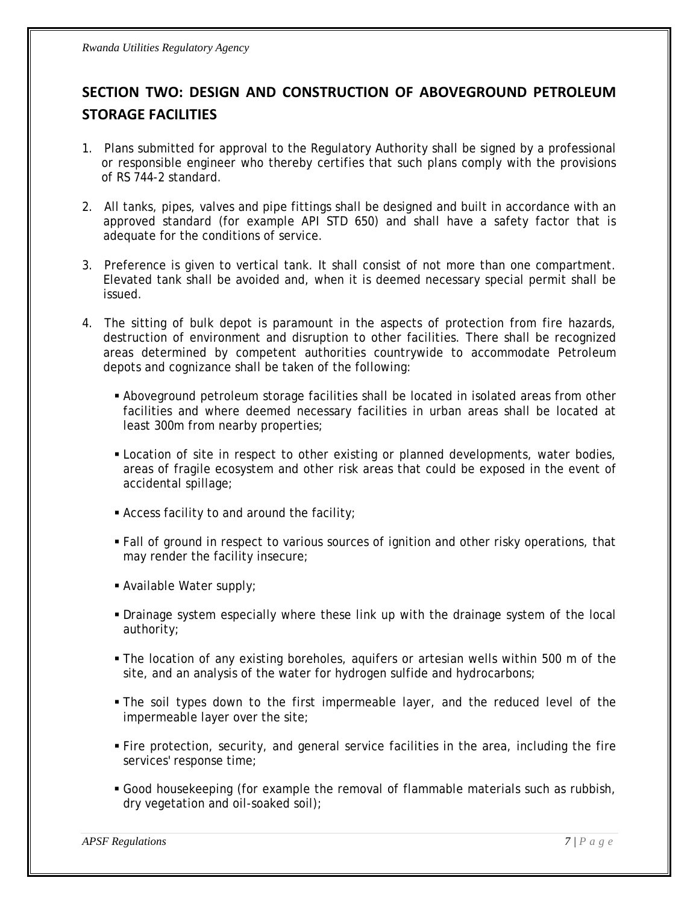# <span id="page-6-0"></span>**SECTION TWO: DESIGN AND CONSTRUCTION OF ABOVEGROUND PETROLEUM STORAGE FACILITIES**

- 1. Plans submitted for approval to the Regulatory Authority shall be signed by a professional or responsible engineer who thereby certifies that such plans comply with the provisions of RS 744-2 standard.
- 2. All tanks, pipes, valves and pipe fittings shall be designed and built in accordance with an approved standard (for example API STD 650) and shall have a safety factor that is adequate for the conditions of service.
- 3. Preference is given to vertical tank. It shall consist of not more than one compartment. Elevated tank shall be avoided and, when it is deemed necessary special permit shall be issued.
- 4. The sitting of bulk depot is paramount in the aspects of protection from fire hazards, destruction of environment and disruption to other facilities. There shall be recognized areas determined by competent authorities countrywide to accommodate Petroleum depots and cognizance shall be taken of the following:
	- Aboveground petroleum storage facilities shall be located in isolated areas from other facilities and where deemed necessary facilities in urban areas shall be located at least 300m from nearby properties;
	- Location of site in respect to other existing or planned developments, water bodies, areas of fragile ecosystem and other risk areas that could be exposed in the event of accidental spillage;
	- Access facility to and around the facility;
	- Fall of ground in respect to various sources of ignition and other risky operations, that may render the facility insecure;
	- Available Water supply;
	- Drainage system especially where these link up with the drainage system of the local authority;
	- The location of any existing boreholes, aquifers or artesian wells within 500 m of the site, and an analysis of the water for hydrogen sulfide and hydrocarbons;
	- The soil types down to the first impermeable layer, and the reduced level of the impermeable layer over the site;
	- Fire protection, security, and general service facilities in the area, including the fire services' response time;
	- Good housekeeping (for example the removal of flammable materials such as rubbish, dry vegetation and oil-soaked soil);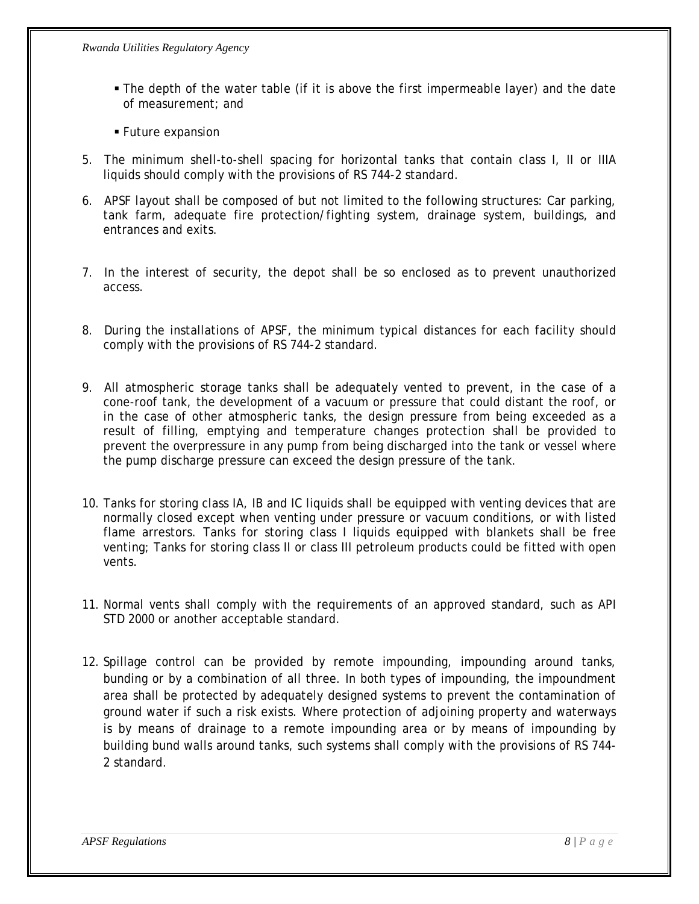- The depth of the water table (if it is above the first impermeable layer) and the date of measurement; and
- **Future expansion**
- 5. The minimum shell-to-shell spacing for horizontal tanks that contain class I, II or IIIA liquids should comply with the provisions of RS 744-2 standard.
- 6. APSF layout shall be composed of but not limited to the following structures: Car parking, tank farm, adequate fire protection/fighting system, drainage system, buildings, and entrances and exits.
- 7.In the interest of security, the depot shall be so enclosed as to prevent unauthorized access.
- 8. During the installations of APSF, the minimum typical distances for each facility should comply with the provisions of RS 744-2 standard.
- 9. All atmospheric storage tanks shall be adequately vented to prevent, in the case of a cone-roof tank, the development of a vacuum or pressure that could distant the roof, or in the case of other atmospheric tanks, the design pressure from being exceeded as a result of filling, emptying and temperature changes protection shall be provided to prevent the overpressure in any pump from being discharged into the tank or vessel where the pump discharge pressure can exceed the design pressure of the tank.
- 10. Tanks for storing class IA, IB and IC liquids shall be equipped with venting devices that are normally closed except when venting under pressure or vacuum conditions, or with listed flame arrestors. Tanks for storing class I liquids equipped with blankets shall be free venting; Tanks for storing class II or class III petroleum products could be fitted with open vents.
- 11. Normal vents shall comply with the requirements of an approved standard, such as API STD 2000 or another acceptable standard.
- 12. Spillage control can be provided by remote impounding, impounding around tanks, bunding or by a combination of all three. In both types of impounding, the impoundment area shall be protected by adequately designed systems to prevent the contamination of ground water if such a risk exists. Where protection of adjoining property and waterways is by means of drainage to a remote impounding area or by means of impounding by building bund walls around tanks, such systems shall comply with the provisions of RS 744- 2 standard.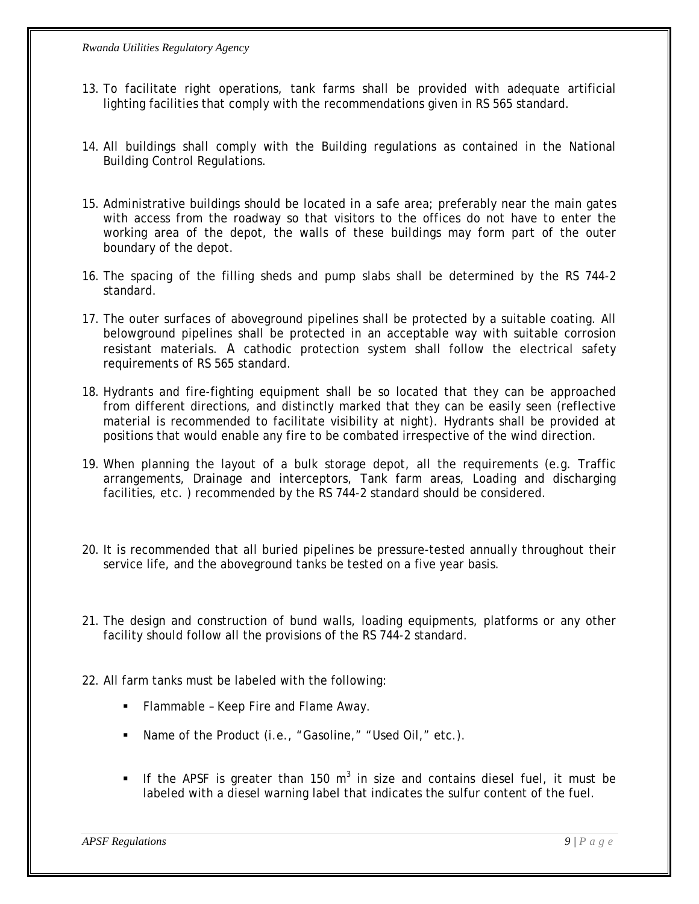- 13. To facilitate right operations, tank farms shall be provided with adequate artificial lighting facilities that comply with the recommendations given in RS 565 standard.
- 14. All buildings shall comply with the Building regulations as contained in the National Building Control Regulations.
- 15. Administrative buildings should be located in a safe area; preferably near the main gates with access from the roadway so that visitors to the offices do not have to enter the working area of the depot, the walls of these buildings may form part of the outer boundary of the depot.
- 16. The spacing of the filling sheds and pump slabs shall be determined by the RS 744-2 standard.
- 17. The outer surfaces of aboveground pipelines shall be protected by a suitable coating. All belowground pipelines shall be protected in an acceptable way with suitable corrosion resistant materials. A cathodic protection system shall follow the electrical safety requirements of RS 565 standard.
- 18. Hydrants and fire-fighting equipment shall be so located that they can be approached from different directions, and distinctly marked that they can be easily seen (reflective material is recommended to facilitate visibility at night). Hydrants shall be provided at positions that would enable any fire to be combated irrespective of the wind direction.
- 19. When planning the layout of a bulk storage depot, all the requirements (e.g. Traffic arrangements, Drainage and interceptors, Tank farm areas, Loading and discharging facilities, etc. ) recommended by the RS 744-2 standard should be considered.
- 20. It is recommended that all buried pipelines be pressure-tested annually throughout their service life, and the aboveground tanks be tested on a five year basis.
- 21. The design and construction of bund walls, loading equipments, platforms or any other facility should follow all the provisions of the RS 744-2 standard.
- 22. All farm tanks must be labeled with the following:
	- **Flammable Keep Fire and Flame Away.**
	- Name of the Product (i.e., "Gasoline," "Used Oil," etc.).
	- If the APSF is greater than 150 m<sup>3</sup> in size and contains diesel fuel, it must be labeled with a diesel warning label that indicates the sulfur content of the fuel.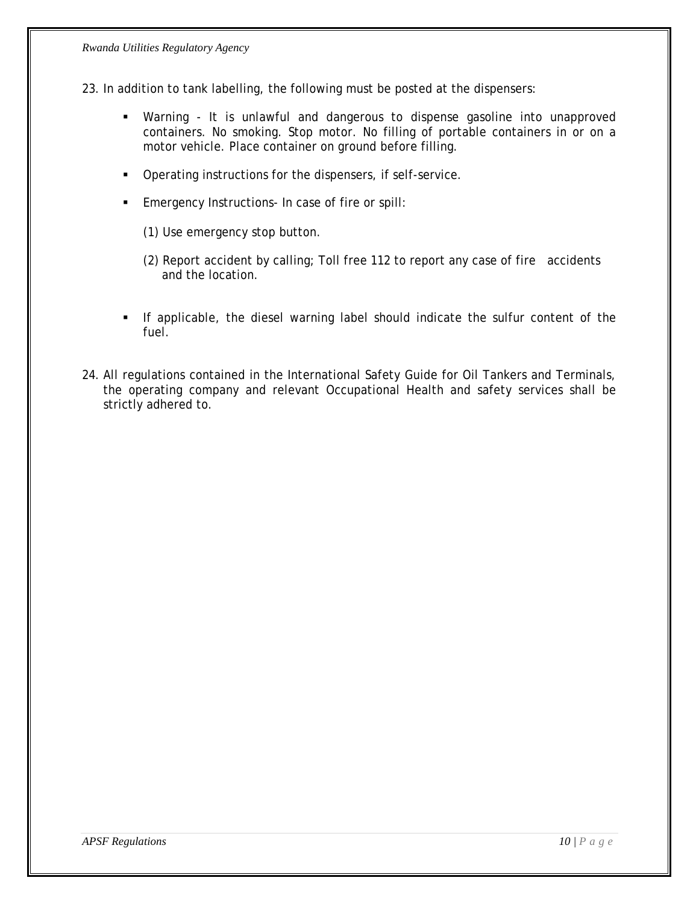- 23. In addition to tank labelling, the following must be posted at the dispensers:
	- Warning It is unlawful and dangerous to dispense gasoline into unapproved containers. No smoking. Stop motor. No filling of portable containers in or on a motor vehicle. Place container on ground before filling.
	- **•** Operating instructions for the dispensers, if self-service.
	- **Emergency Instructions- In case of fire or spill:** 
		- (1) Use emergency stop button.
		- (2) Report accident by calling; Toll free 112 to report any case of fire accidents and the location.
	- If applicable, the diesel warning label should indicate the sulfur content of the fuel.
- 24. All regulations contained in the International Safety Guide for Oil Tankers and Terminals, the operating company and relevant Occupational Health and safety services shall be strictly adhered to.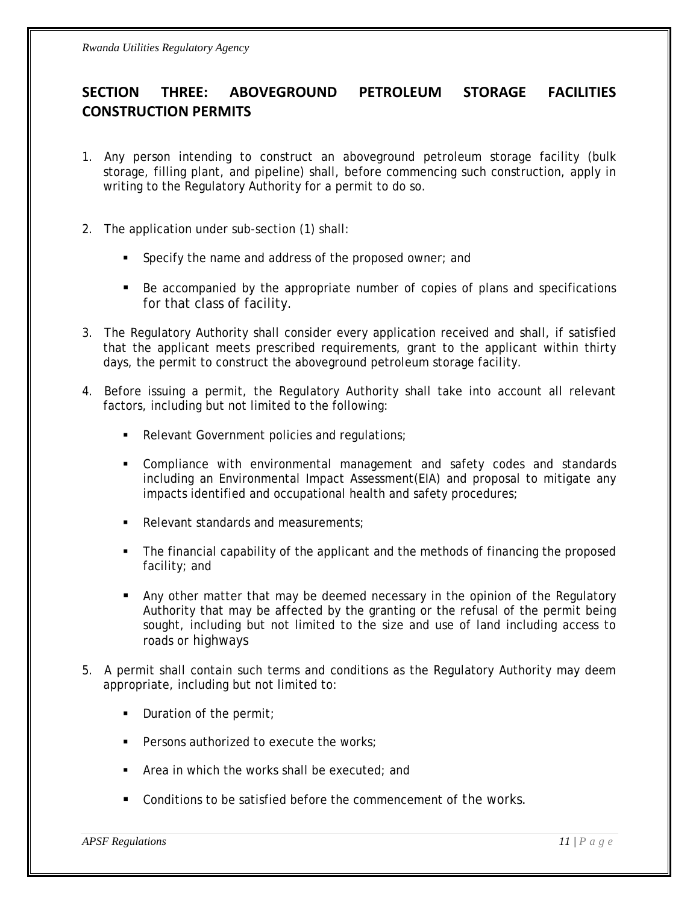### <span id="page-10-0"></span>**SECTION THREE: ABOVEGROUND PETROLEUM STORAGE FACILITIES CONSTRUCTION PERMITS**

- 1. Any person intending to construct an aboveground petroleum storage facility (bulk storage, filling plant, and pipeline) shall, before commencing such construction, apply in writing to the Regulatory Authority for a permit to do so.
- 2. The application under sub-section (1) shall:
	- **Specify the name and address of the proposed owner; and**
	- Be accompanied by the appropriate number of copies of plans and specifications for that class of facility.
- 3. The Regulatory Authority shall consider every application received and shall, if satisfied that the applicant meets prescribed requirements, grant to the applicant within thirty days, the permit to construct the aboveground petroleum storage facility.
- 4. Before issuing a permit, the Regulatory Authority shall take into account all relevant factors, including but not limited to the following:
	- Relevant Government policies and regulations;
	- Compliance with environmental management and safety codes and standards including an Environmental Impact Assessment(EIA) and proposal to mitigate any impacts identified and occupational health and safety procedures;
	- Relevant standards and measurements;
	- The financial capability of the applicant and the methods of financing the proposed facility; and
	- Any other matter that may be deemed necessary in the opinion of the Regulatory Authority that may be affected by the granting or the refusal of the permit being sought, including but not limited to the size and use of land including access to roads or highways
- 5. A permit shall contain such terms and conditions as the Regulatory Authority may deem appropriate, including but not limited to:
	- $\blacksquare$  Duration of the permit;
	- **Persons authorized to execute the works:**
	- Area in which the works shall be executed; and
	- **Conditions to be satisfied before the commencement of the works.**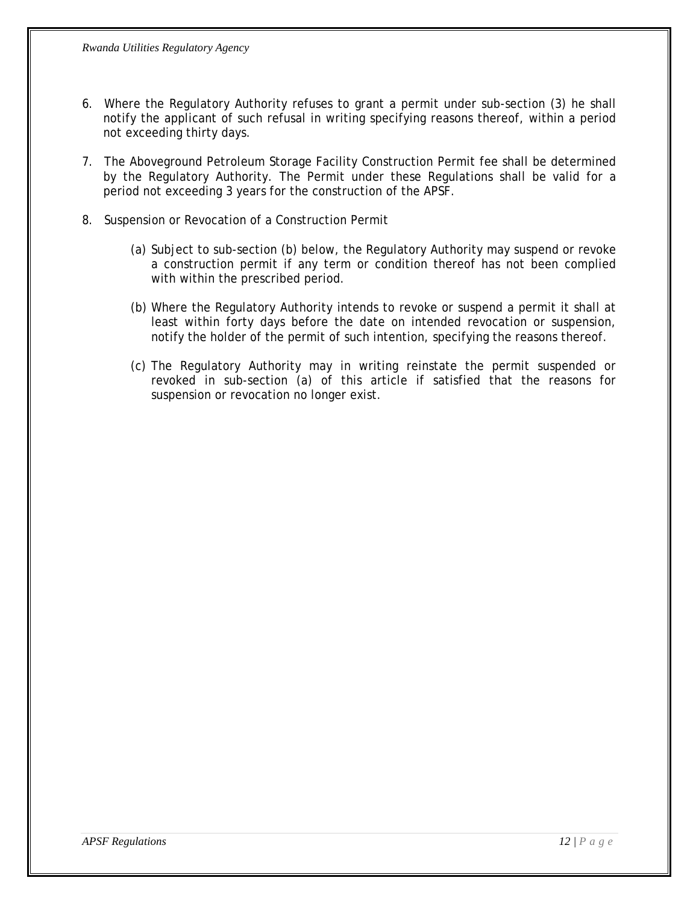- 6. Where the Regulatory Authority refuses to grant a permit under sub-section (3) he shall notify the applicant of such refusal in writing specifying reasons thereof, within a period not exceeding thirty days.
- 7. The Aboveground Petroleum Storage Facility Construction Permit fee shall be determined by the Regulatory Authority. The Permit under these Regulations shall be valid for a period not exceeding 3 years for the construction of the APSF.
- 8. Suspension or Revocation of a Construction Permit
	- (a) Subject to sub-section (b) below, the Regulatory Authority may suspend or revoke a construction permit if any term or condition thereof has not been complied with within the prescribed period.
	- (b) Where the Regulatory Authority intends to revoke or suspend a permit it shall at least within forty days before the date on intended revocation or suspension, notify the holder of the permit of such intention, specifying the reasons thereof.
	- (c) The Regulatory Authority may in writing reinstate the permit suspended or revoked in sub-section (a) of this article if satisfied that the reasons for suspension or revocation no longer exist.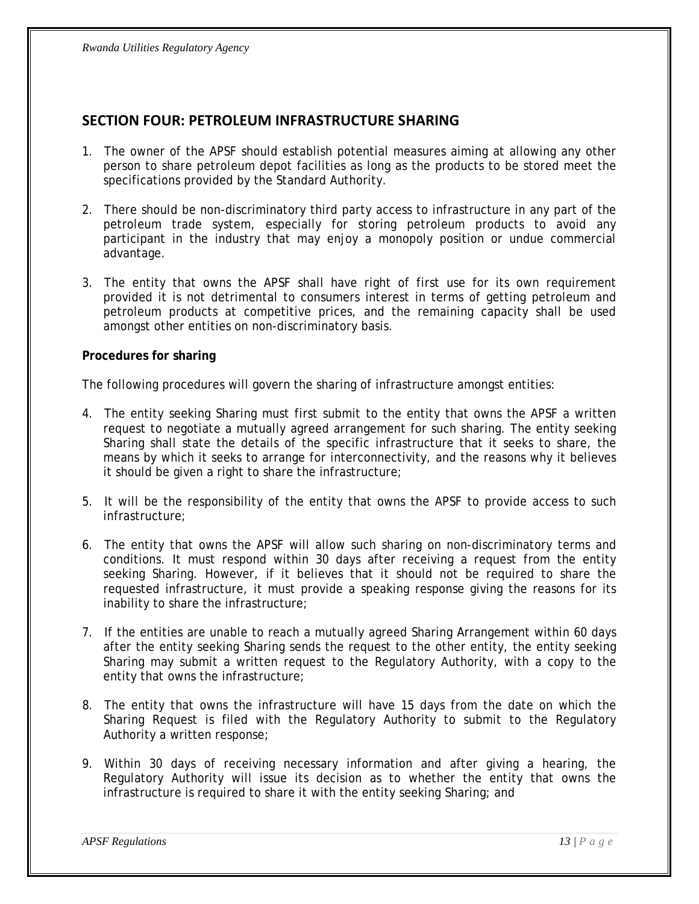### <span id="page-12-0"></span>**SECTION FOUR: PETROLEUM INFRASTRUCTURE SHARING**

- 1. The owner of the APSF should establish potential measures aiming at allowing any other person to share petroleum depot facilities as long as the products to be stored meet the specifications provided by the Standard Authority.
- 2. There should be non-discriminatory third party access to infrastructure in any part of the petroleum trade system, especially for storing petroleum products to avoid any participant in the industry that may enjoy a monopoly position or undue commercial advantage.
- 3. The entity that owns the APSF shall have right of first use for its own requirement provided it is not detrimental to consumers interest in terms of getting petroleum and petroleum products at competitive prices, and the remaining capacity shall be used amongst other entities on non-discriminatory basis.

#### **Procedures for sharing**

The following procedures will govern the sharing of infrastructure amongst entities:

- 4. The entity seeking Sharing must first submit to the entity that owns the APSF a written request to negotiate a mutually agreed arrangement for such sharing. The entity seeking Sharing shall state the details of the specific infrastructure that it seeks to share, the means by which it seeks to arrange for interconnectivity, and the reasons why it believes it should be given a right to share the infrastructure;
- 5. It will be the responsibility of the entity that owns the APSF to provide access to such infrastructure;
- 6. The entity that owns the APSF will allow such sharing on non-discriminatory terms and conditions. It must respond within 30 days after receiving a request from the entity seeking Sharing. However, if it believes that it should not be required to share the requested infrastructure, it must provide a speaking response giving the reasons for its inability to share the infrastructure;
- 7. If the entities are unable to reach a mutually agreed Sharing Arrangement within 60 days after the entity seeking Sharing sends the request to the other entity, the entity seeking Sharing may submit a written request to the Regulatory Authority, with a copy to the entity that owns the infrastructure;
- 8. The entity that owns the infrastructure will have 15 days from the date on which the Sharing Request is filed with the Regulatory Authority to submit to the Regulatory Authority a written response;
- 9. Within 30 days of receiving necessary information and after giving a hearing, the Regulatory Authority will issue its decision as to whether the entity that owns the infrastructure is required to share it with the entity seeking Sharing; and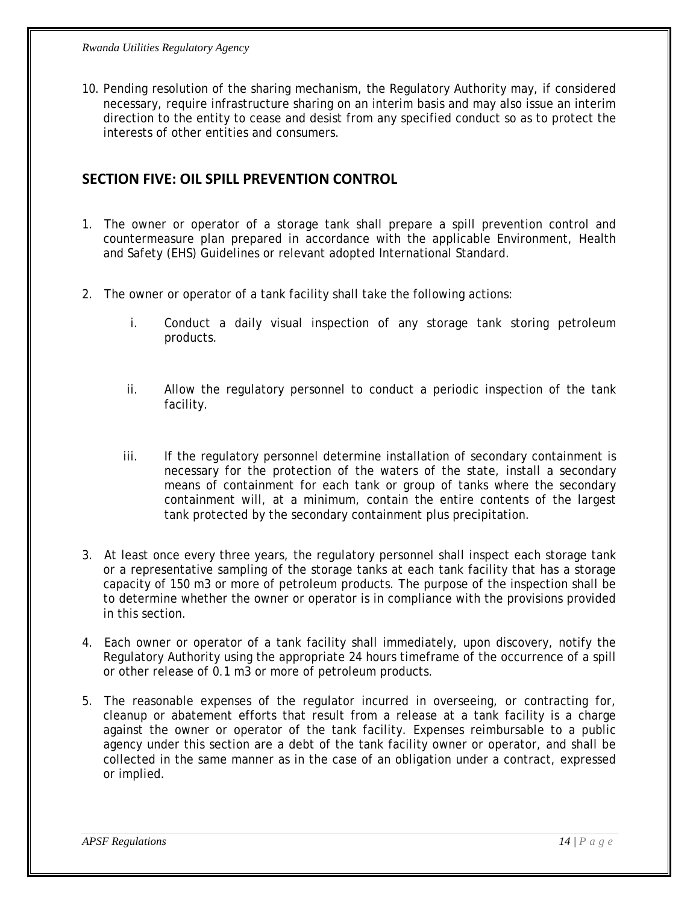<span id="page-13-0"></span>10. Pending resolution of the sharing mechanism, the Regulatory Authority may, if considered necessary, require infrastructure sharing on an interim basis and may also issue an interim direction to the entity to cease and desist from any specified conduct so as to protect the interests of other entities and consumers.

#### **SECTION FIVE: OIL SPILL PREVENTION CONTROL**

- 1. The owner or operator of a storage tank shall prepare a spill prevention control and countermeasure plan prepared in accordance with the applicable Environment, Health and Safety (EHS) Guidelines or relevant adopted International Standard.
- 2. The owner or operator of a tank facility shall take the following actions:
	- i. Conduct a daily visual inspection of any storage tank storing petroleum products.
	- ii. Allow the regulatory personnel to conduct a periodic inspection of the tank facility.
	- iii. If the regulatory personnel determine installation of secondary containment is necessary for the protection of the waters of the state, install a secondary means of containment for each tank or group of tanks where the secondary containment will, at a minimum, contain the entire contents of the largest tank protected by the secondary containment plus precipitation.
- 3. At least once every three years, the regulatory personnel shall inspect each storage tank or a representative sampling of the storage tanks at each tank facility that has a storage capacity of 150 m3 or more of petroleum products. The purpose of the inspection shall be to determine whether the owner or operator is in compliance with the provisions provided in this section.
- 4. Each owner or operator of a tank facility shall immediately, upon discovery, notify the Regulatory Authority using the appropriate 24 hours timeframe of the occurrence of a spill or other release of 0.1 m3 or more of petroleum products.
- 5. The reasonable expenses of the regulator incurred in overseeing, or contracting for, cleanup or abatement efforts that result from a release at a tank facility is a charge against the owner or operator of the tank facility. Expenses reimbursable to a public agency under this section are a debt of the tank facility owner or operator, and shall be collected in the same manner as in the case of an obligation under a contract, expressed or implied.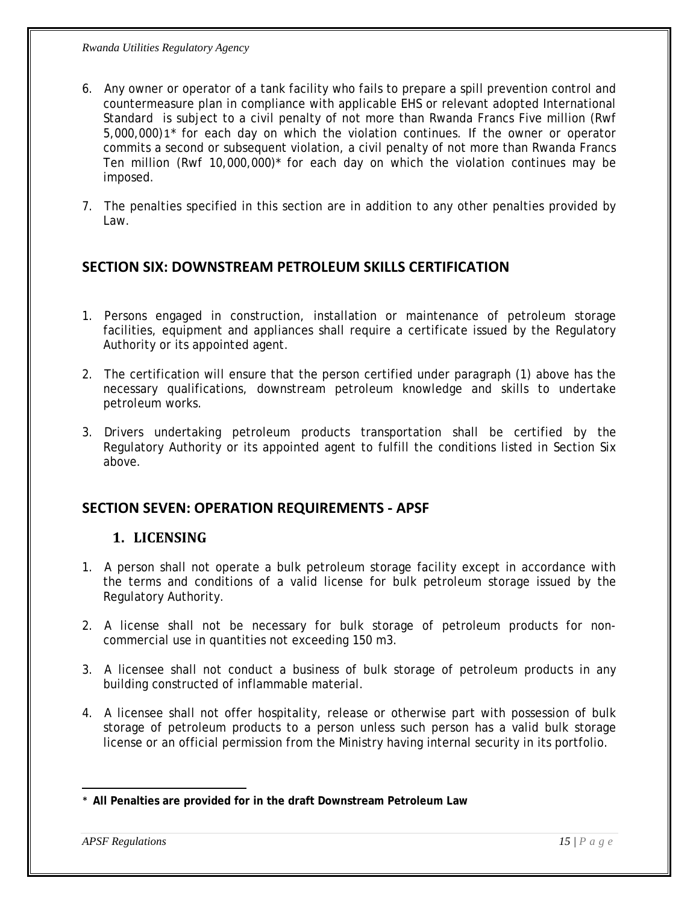- <span id="page-14-0"></span>6. Any owner or operator of a tank facility who fails to prepare a spill prevention control and countermeasure plan in compliance with applicable EHS or relevant adopted International Standard is subject to a civil penalty of not more than Rwanda Francs Five million (Rwf 5,000,000)[1](#page-14-1)\* for each day on which the violation continues. If the owner or operator commits a second or subsequent violation, a civil penalty of not more than Rwanda Francs Ten million (Rwf 10,000,000)\* for each day on which the violation continues may be imposed.
- 7. The penalties specified in this section are in addition to any other penalties provided by Law.

#### **SECTION SIX: DOWNSTREAM PETROLEUM SKILLS CERTIFICATION**

- 1. Persons engaged in construction, installation or maintenance of petroleum storage facilities, equipment and appliances shall require a certificate issued by the Regulatory Authority or its appointed agent.
- 2. The certification will ensure that the person certified under paragraph (1) above has the necessary qualifications, downstream petroleum knowledge and skills to undertake petroleum works.
- 3. Drivers undertaking petroleum products transportation shall be certified by the Regulatory Authority or its appointed agent to fulfill the conditions listed in Section Six above.

#### **SECTION SEVEN: OPERATION REQUIREMENTS ‐ APSF**

#### **1. LICENSING**

- 1. A person shall not operate a bulk petroleum storage facility except in accordance with the terms and conditions of a valid license for bulk petroleum storage issued by the Regulatory Authority.
- 2. A license shall not be necessary for bulk storage of petroleum products for noncommercial use in quantities not exceeding 150 m3.
- 3. A licensee shall not conduct a business of bulk storage of petroleum products in any building constructed of inflammable material.
- 4. A licensee shall not offer hospitality, release or otherwise part with possession of bulk storage of petroleum products to a person unless such person has a valid bulk storage license or an official permission from the Ministry having internal security in its portfolio.

<span id="page-14-1"></span> \* **All Penalties are provided for in the draft Downstream Petroleum Law**

*APSF Regulations* 15 | P a g e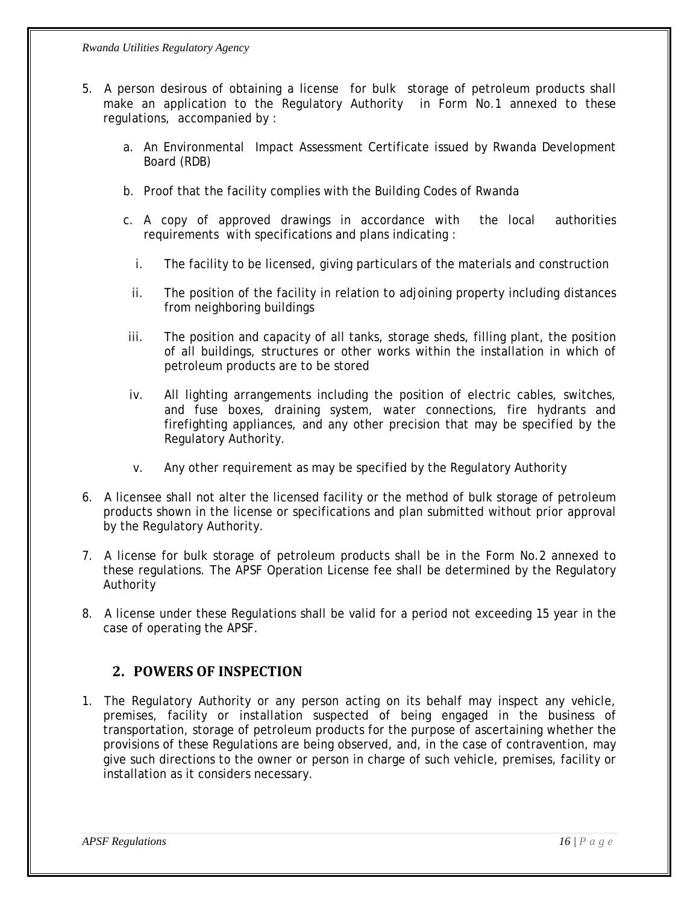- <span id="page-15-0"></span>5. A person desirous of obtaining a license for bulk storage of petroleum products shall make an application to the Regulatory Authority in Form No.1 annexed to these regulations, accompanied by :
	- a. An Environmental Impact Assessment Certificate issued by Rwanda Development Board (RDB)
	- b. Proof that the facility complies with the Building Codes of Rwanda
	- c. A copy of approved drawings in accordance with the local authorities requirements with specifications and plans indicating :
		- i. The facility to be licensed, giving particulars of the materials and construction
		- ii. The position of the facility in relation to adjoining property including distances from neighboring buildings
	- iii. The position and capacity of all tanks, storage sheds, filling plant, the position of all buildings, structures or other works within the installation in which of petroleum products are to be stored
	- iv. All lighting arrangements including the position of electric cables, switches, and fuse boxes, draining system, water connections, fire hydrants and firefighting appliances, and any other precision that may be specified by the Regulatory Authority.
	- v. Any other requirement as may be specified by the Regulatory Authority
- 6. A licensee shall not alter the licensed facility or the method of bulk storage of petroleum products shown in the license or specifications and plan submitted without prior approval by the Regulatory Authority.
- 7. A license for bulk storage of petroleum products shall be in the Form No.2 annexed to these regulations. The APSF Operation License fee shall be determined by the Regulatory Authority
- 8. A license under these Regulations shall be valid for a period not exceeding 15 year in the case of operating the APSF.

#### **2. POWERS OF INSPECTION**

1. The Regulatory Authority or any person acting on its behalf may inspect any vehicle, premises, facility or installation suspected of being engaged in the business of transportation, storage of petroleum products for the purpose of ascertaining whether the provisions of these Regulations are being observed, and, in the case of contravention, may give such directions to the owner or person in charge of such vehicle, premises, facility or installation as it considers necessary.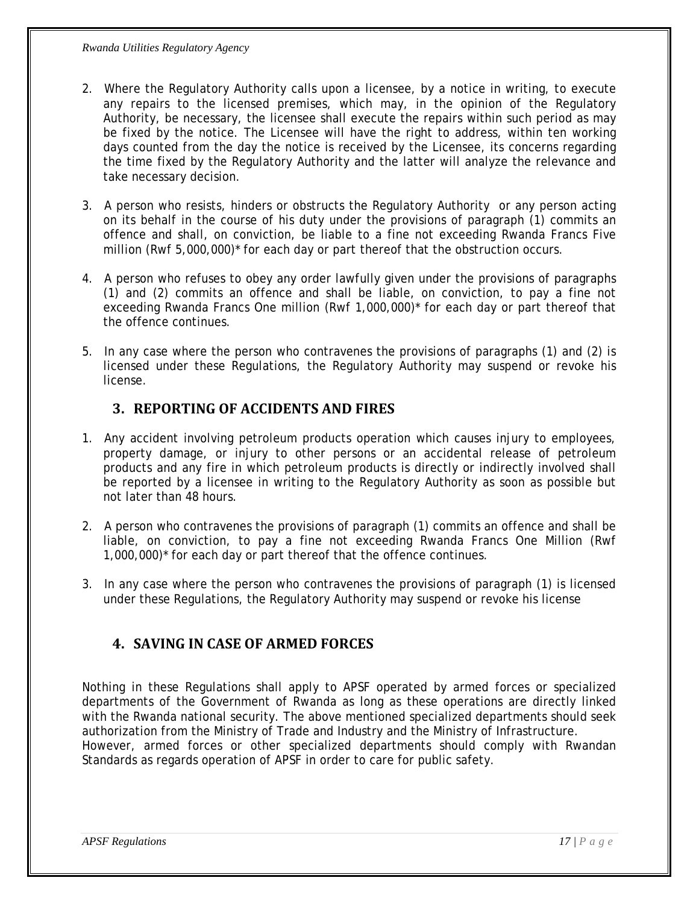- <span id="page-16-0"></span>2. Where the Regulatory Authority calls upon a licensee, by a notice in writing, to execute any repairs to the licensed premises, which may, in the opinion of the Regulatory Authority, be necessary, the licensee shall execute the repairs within such period as may be fixed by the notice. The Licensee will have the right to address, within ten working days counted from the day the notice is received by the Licensee, its concerns regarding the time fixed by the Regulatory Authority and the latter will analyze the relevance and take necessary decision.
- 3. A person who resists, hinders or obstructs the Regulatory Authority or any person acting on its behalf in the course of his duty under the provisions of paragraph (1) commits an offence and shall, on conviction, be liable to a fine not exceeding Rwanda Francs Five million (Rwf 5,000,000)\* for each day or part thereof that the obstruction occurs.
- 4. A person who refuses to obey any order lawfully given under the provisions of paragraphs (1) and (2) commits an offence and shall be liable, on conviction, to pay a fine not exceeding Rwanda Francs One million (Rwf 1,000,000)\* for each day or part thereof that the offence continues.
- 5. In any case where the person who contravenes the provisions of paragraphs (1) and (2) is licensed under these Regulations, the Regulatory Authority may suspend or revoke his license.

### **3. REPORTING OF ACCIDENTS AND FIRES**

- 1. Any accident involving petroleum products operation which causes injury to employees, property damage, or injury to other persons or an accidental release of petroleum products and any fire in which petroleum products is directly or indirectly involved shall be reported by a licensee in writing to the Regulatory Authority as soon as possible but not later than 48 hours.
- 2. A person who contravenes the provisions of paragraph (1) commits an offence and shall be liable, on conviction, to pay a fine not exceeding Rwanda Francs One Million (Rwf 1,000,000)\* for each day or part thereof that the offence continues.
- 3. In any case where the person who contravenes the provisions of paragraph (1) is licensed under these Regulations, the Regulatory Authority may suspend or revoke his license

### **4. SAVING IN CASE OF ARMED FORCES**

Nothing in these Regulations shall apply to APSF operated by armed forces or specialized departments of the Government of Rwanda as long as these operations are directly linked with the Rwanda national security. The above mentioned specialized departments should seek authorization from the Ministry of Trade and Industry and the Ministry of Infrastructure. However, armed forces or other specialized departments should comply with Rwandan Standards as regards operation of APSF in order to care for public safety.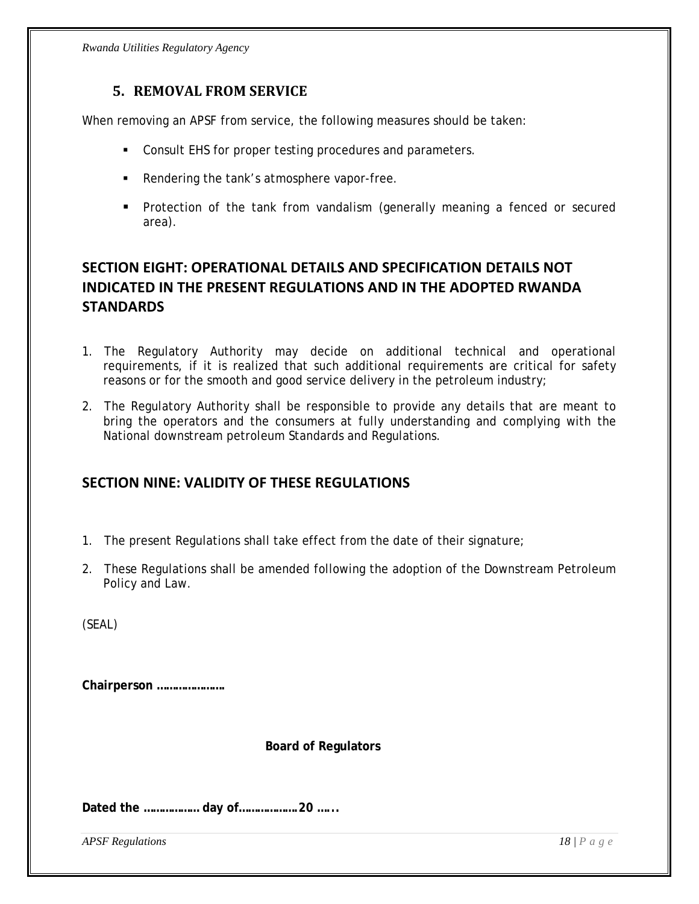#### **5. REMOVAL FROM SERVICE**

<span id="page-17-0"></span>When removing an APSF from service, the following measures should be taken:

- Consult EHS for proper testing procedures and parameters.
- Rendering the tank's atmosphere vapor-free.
- **Protection of the tank from vandalism (generally meaning a fenced or secured** area).

### **SECTION EIGHT: OPERATIONAL DETAILS AND SPECIFICATION DETAILS NOT INDICATED IN THE PRESENT REGULATIONS AND IN THE ADOPTED RWANDA STANDARDS**

- 1. The Regulatory Authority may decide on additional technical and operational requirements, if it is realized that such additional requirements are critical for safety reasons or for the smooth and good service delivery in the petroleum industry;
- 2. The Regulatory Authority shall be responsible to provide any details that are meant to bring the operators and the consumers at fully understanding and complying with the National downstream petroleum Standards and Regulations.

### **SECTION NINE: VALIDITY OF THESE REGULATIONS**

- 1. The present Regulations shall take effect from the date of their signature;
- 2. These Regulations shall be amended following the adoption of the Downstream Petroleum Policy and Law.

(SEAL)

**Chairperson ………………….** 

 **Board of Regulators** 

**Dated the ……………… day of……………….20 …...**

*APSF Regulations* 18 | Page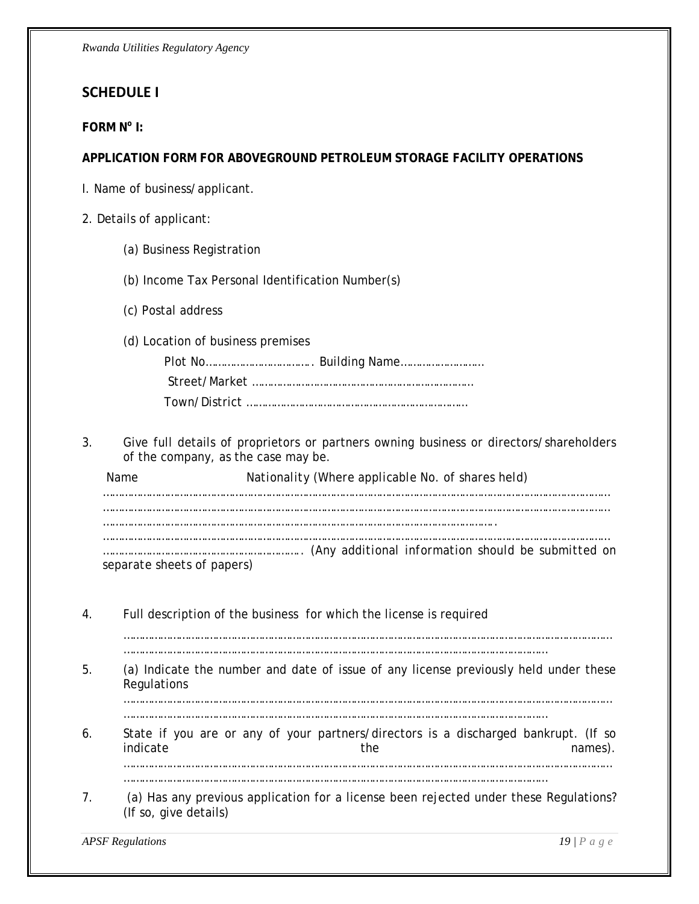### <span id="page-18-0"></span>**SCHEDULE I**

#### **FORM N<sup>o</sup> I:**

#### **APPLICATION FORM FOR ABOVEGROUND PETROLEUM STORAGE FACILITY OPERATIONS**

- I. Name of business/applicant.
- 2. Details of applicant:
	- *(a)* Business Registration
	- *(b)* Income Tax Personal Identification Number(s)
	- *(c)* Postal address
	- *(d)* Location of business premises

3. Give full details of proprietors or partners owning business or directors/shareholders of the company, as the case may be.

*Name Nationality (Where applicable No. of shares held) ………………………………………………………………………………………………………………………………………………… ……………………………………………………………………………………………………………….. ………………………………………………………………………………………………………………………………………………… ……………………………………………………….. (Any additional information should be submitted on separate sheets of papers)* 

4. Full description of the business for which the license is required

……………………………………………………………………………………………………………………………………………

- …………………………………………………………………………………………………………………………
- 5. (a) Indicate the number and date of issue of any license previously held under these Regulations

…………………………………………………………………………………………………………………………………………… …………………………………………………………………………………………………………………………

- 6. State if you are or any of your partners/directors is a discharged bankrupt. (If so indicate and the names). …………………………………………………………………………………………………………………………………………… …………………………………………………………………………………………………………………………
- 7. (a) Has any previous application for a license been rejected under these Regulations? (If so, give details)

*APSF Regulations 19 | Page*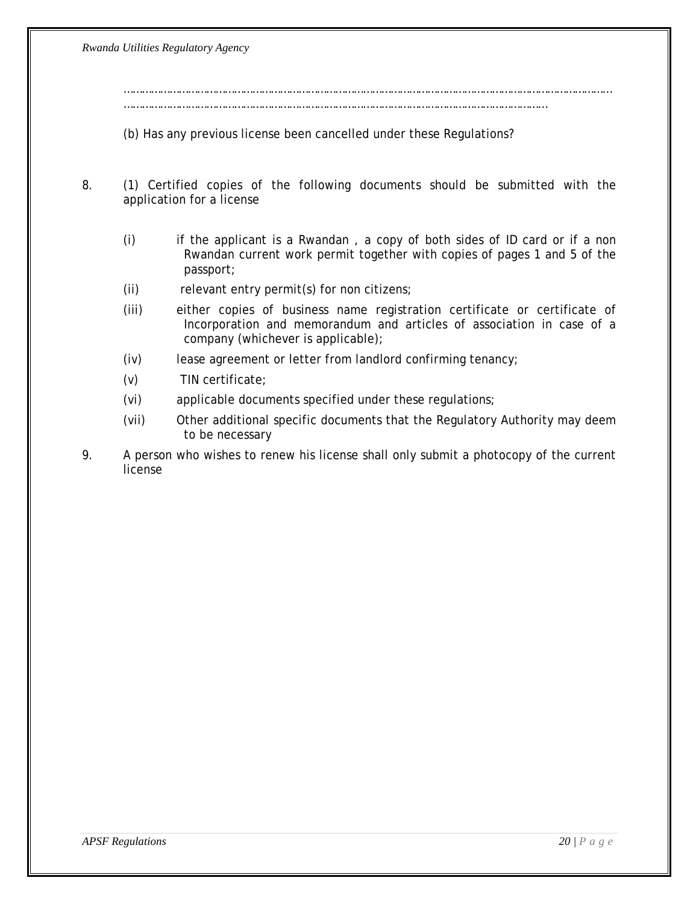…………………………………………………………………………………………………………………………………………… …………………………………………………………………………………………………………………………

(b) Has any previous license been cancelled under these Regulations?

- 8. (1) Certified copies of the following documents should be submitted with the application for a license
	- (i) if the applicant is a Rwandan , a copy of both sides of ID card or if a non Rwandan current work permit together with copies of pages 1 and 5 of the passport;
	- (ii) relevant entry permit(s) for non citizens;
	- (iii) either copies of business name registration certificate or certificate of Incorporation and memorandum and articles of association in case of a company (whichever is applicable);
	- (iv) lease agreement or letter from landlord confirming tenancy;
	- (v) TIN certificate;
	- (vi) applicable documents specified under these regulations;
	- (vii) Other additional specific documents that the Regulatory Authority may deem to be necessary
- 9. A person who wishes to renew his license shall only submit a photocopy of the current license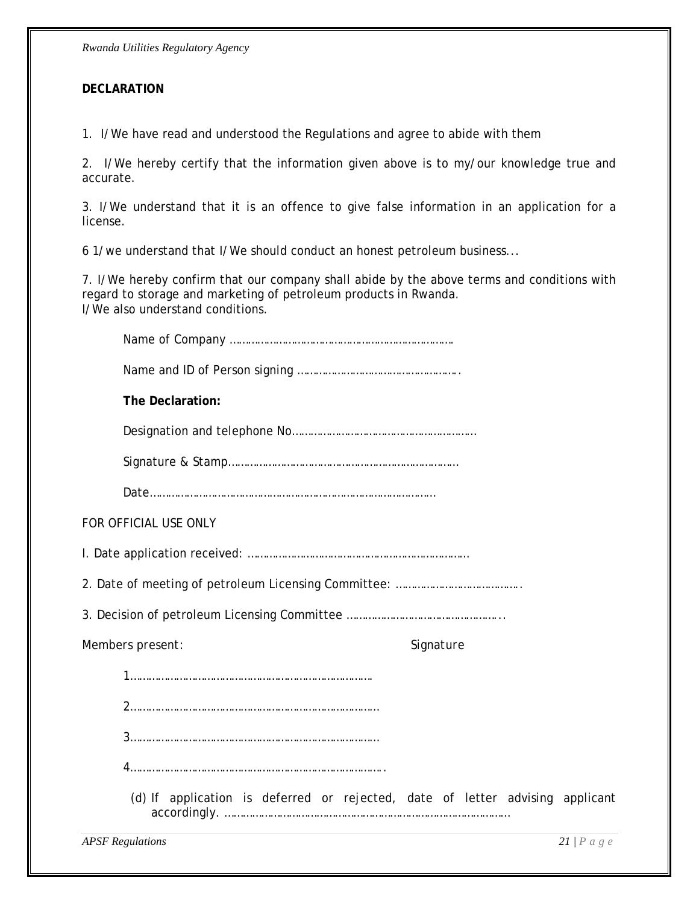#### **DECLARATION**

1.I/We have read and understood the Regulations and agree to abide with them

2. I/We hereby certify that the information given above is to my/our knowledge true and accurate.

3. I/We understand that it is an offence to give false information in an application for a license.

*6* 1/we understand that I/We should conduct an honest petroleum business...

*7.* I/We hereby confirm that our company shall abide by the above terms and conditions with regard to storage and marketing of petroleum products in Rwanda. I/We also understand conditions.

| The Declaration:                                                              |              |
|-------------------------------------------------------------------------------|--------------|
|                                                                               |              |
|                                                                               |              |
|                                                                               |              |
| FOR OFFICIAL USE ONLY                                                         |              |
|                                                                               |              |
|                                                                               |              |
|                                                                               |              |
| Members present:                                                              | Signature    |
|                                                                               |              |
|                                                                               |              |
|                                                                               |              |
|                                                                               |              |
| (d) If application is deferred or rejected, date of letter advising applicant |              |
| <b>APSF</b> Regulations                                                       | $21/P$ a g e |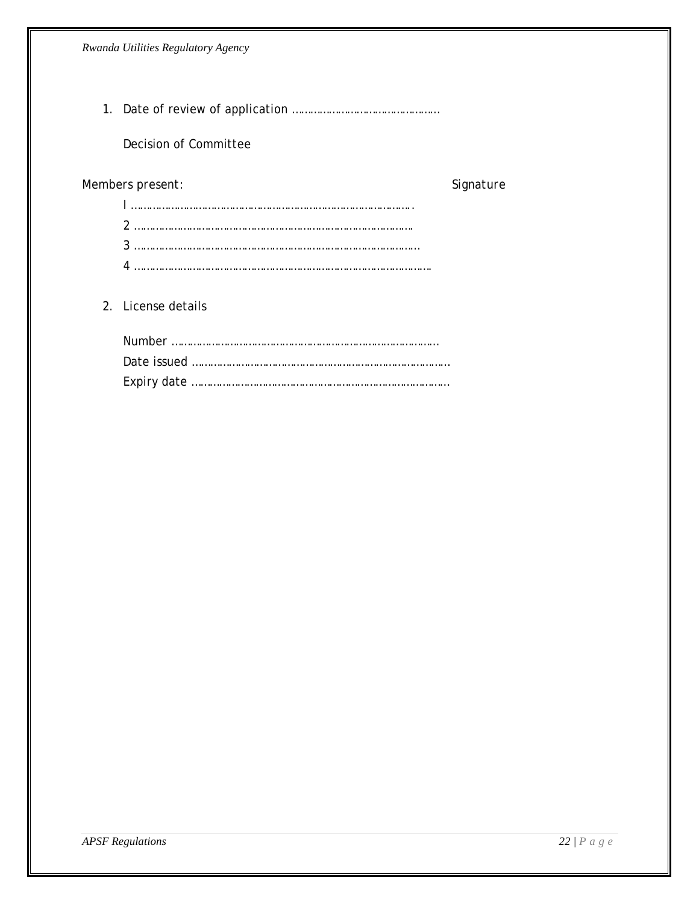1. Date of review of application …………………………………………

### Decision of Committee

### *Members present: Signature*

| $\begin{minipage}{0.5\textwidth} \centering \begin{tabular}{ c c c c c } \hline \multicolumn{1}{ c }{\textbf{1}} & \multicolumn{1}{ c }{\textbf{1}} & \multicolumn{1}{ c }{\textbf{1}} & \multicolumn{1}{ c }{\textbf{1}} & \multicolumn{1}{ c }{\textbf{1}} & \multicolumn{1}{ c }{\textbf{1}} & \multicolumn{1}{ c }{\textbf{1}} & \multicolumn{1}{ c }{\textbf{1}} & \multicolumn{1}{ c }{\textbf{1}} & \multicolumn{1}{ c }{\textbf{1}} & \mult$ |  |
|------------------------------------------------------------------------------------------------------------------------------------------------------------------------------------------------------------------------------------------------------------------------------------------------------------------------------------------------------------------------------------------------------------------------------------------------------|--|
|                                                                                                                                                                                                                                                                                                                                                                                                                                                      |  |
|                                                                                                                                                                                                                                                                                                                                                                                                                                                      |  |
|                                                                                                                                                                                                                                                                                                                                                                                                                                                      |  |

#### 2. License details